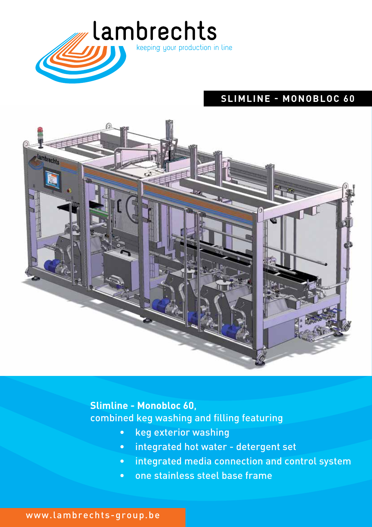

# **SLIMLINE - MONOBLOC 60**



# **Slimline - Monobloc 60**, combined keg washing and filling featuring

- keg exterior washing
- integrated hot water detergent set
- integrated media connection and control system
- one stainless steel base frame